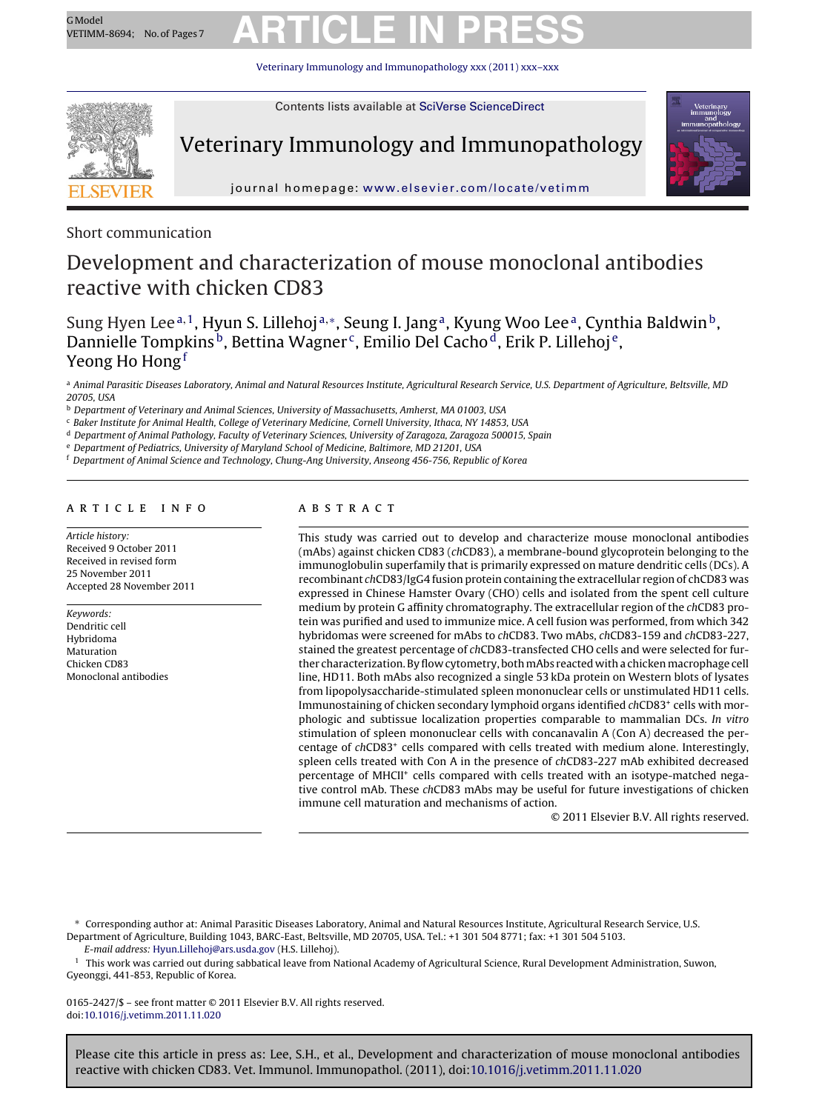## GModel Respa<sub>c</sub> No. of Pages 7 **ARTICLE IN PRESS**

Veterinary Immunology and Immunopathology [xxx \(2011\) xxx–xxx](dx.doi.org/10.1016/j.vetimm.2011.11.020)



Contents lists available at SciVerse [ScienceDirect](http://www.sciencedirect.com/science/journal/01652427)

### Veterinary Immunology and Immunopathology



journal homepage: [www.elsevier.com/locate/vetimm](http://www.elsevier.com/locate/vetimm)

Short communication

### Development and characterization of mouse monoclonal antibodies reactive with chicken CD83

Sung Hyen Lee<sup>a, 1</sup>, Hyun S. Lillehoj<sup>a,∗</sup>, Seung I. Jang<sup>a</sup>, Kyung Woo Lee<sup>a</sup>, Cynthia Baldwin<sup>b</sup>, Dannielle Tompkins<sup>b</sup>, Bettina Wagner<sup>c</sup>, Emilio Del Cacho<sup>d</sup>, Erik P. Lillehoj<sup>e</sup>, Yeong Ho Hong<sup>f</sup>

a Animal Parasitic Diseases Laboratory, Animal and Natural Resources Institute, Agricultural Research Service, U.S. Department of Agriculture, Beltsville, MD 20705, USA

<sup>b</sup> Department of Veterinary and Animal Sciences, University of Massachusetts, Amherst, MA 01003, USA

<sup>c</sup> Baker Institute for Animal Health, College of Veterinary Medicine, Cornell University, Ithaca, NY 14853, USA

<sup>d</sup> Department of Animal Pathology, Faculty of Veterinary Sciences, University of Zaragoza, Zaragoza 500015, Spain

<sup>e</sup> Department of Pediatrics, University of Maryland School of Medicine, Baltimore, MD 21201, USA

<sup>f</sup> Department of Animal Science and Technology, Chung-Ang University, Anseong 456-756, Republic of Korea

#### A R T I C L E I N F O

Article history: Received 9 October 2011 Received in revised form 25 November 2011 Accepted 28 November 2011

Keywords: Dendritic cell Hybridoma Maturation Chicken CD83 Monoclonal antibodies

#### a b s t r a c t

This study was carried out to develop and characterize mouse monoclonal antibodies (mAbs) against chicken CD83 (chCD83), a membrane-bound glycoprotein belonging to the immunoglobulin superfamily that is primarily expressed on mature dendritic cells (DCs). A recombinant chCD83/IgG4 fusion protein containing the extracellular region of chCD83 was expressed in Chinese Hamster Ovary (CHO) cells and isolated from the spent cell culture medium by protein G affinity chromatography. The extracellular region of the chCD83 protein was purified and used to immunize mice. A cell fusion was performed, from which 342 hybridomas were screened for mAbs to chCD83. Two mAbs, chCD83-159 and chCD83-227, stained the greatest percentage of chCD83-transfected CHO cells and were selected for further characterization. By flow cytometry, both mAbs reacted with a chicken macrophage cell line, HD11. Both mAbs also recognized a single 53 kDa protein on Western blots of lysates from lipopolysaccharide-stimulated spleen mononuclear cells or unstimulated HD11 cells. Immunostaining of chicken secondary lymphoid organs identified chCD83<sup>+</sup> cells with morphologic and subtissue localization properties comparable to mammalian DCs. In vitro stimulation of spleen mononuclear cells with concanavalin A (Con A) decreased the percentage of chCD83<sup>+</sup> cells compared with cells treated with medium alone. Interestingly, spleen cells treated with Con A in the presence of chCD83-227 mAb exhibited decreased percentage of MHCII<sup>+</sup> cells compared with cells treated with an isotype-matched negative control mAb. These chCD83 mAbs may be useful for future investigations of chicken immune cell maturation and mechanisms of action.

© 2011 Elsevier B.V. All rights reserved.

∗ Corresponding author at: Animal Parasitic Diseases Laboratory, Animal and Natural Resources Institute, Agricultural Research Service, U.S. Department of Agriculture, Building 1043, BARC-East, Beltsville, MD 20705, USA. Tel.: +1 301 504 8771; fax: +1 301 504 5103.

E-mail address: [Hyun.Lillehoj@ars.usda.gov](mailto:Hyun.Lillehoj@ars.usda.gov) (H.S. Lillehoj).

 $1$  This work was carried out during sabbatical leave from National Academy of Agricultural Science, Rural Development Administration, Suwon, Gyeonggi, 441-853, Republic of Korea.

0165-2427/\$ – see front matter © 2011 Elsevier B.V. All rights reserved. doi:[10.1016/j.vetimm.2011.11.020](dx.doi.org/10.1016/j.vetimm.2011.11.020)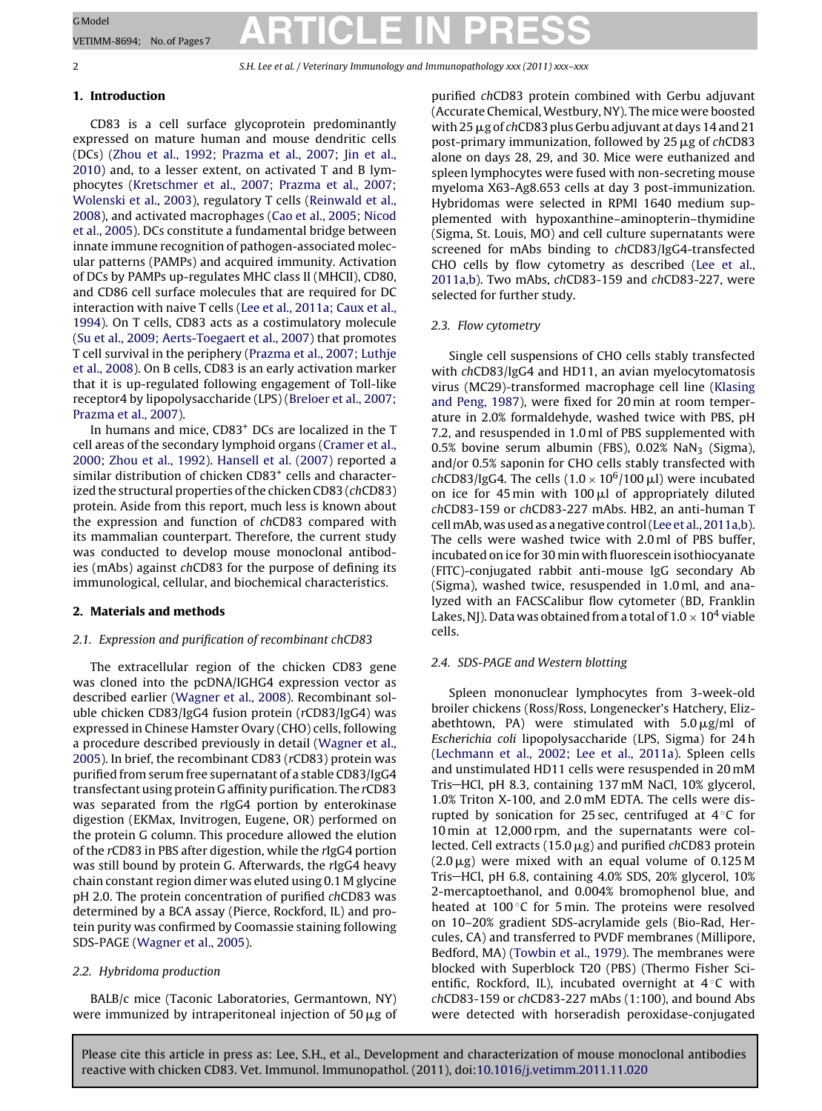G Model<br>VETIMM-8694; No.of Pages7 **ARTICLE IN PRESS** VETIMM-8694; No. of Pages7

### 2 S.H. Lee et al. / Veterinary Immunology and Immunopathology *xxx (2011) xxx–xxx*

#### **1. Introduction**

CD83 is a cell surface glycoprotein predominantly expressed on mature human and mouse dendritic cells (DCs) ([Zhou](#page-6-0) et [al.,](#page-6-0) [1992;](#page-6-0) [Prazma](#page-6-0) et [al.,](#page-6-0) [2007;](#page-6-0) [Jin](#page-6-0) et [al.,](#page-6-0) [2010\)](#page-6-0) and, to a lesser extent, on activated T and B lymphocytes [\(Kretschmer](#page-6-0) et [al.,](#page-6-0) [2007;](#page-6-0) [Prazma](#page-6-0) et [al.,](#page-6-0) [2007;](#page-6-0) [Wolenski](#page-6-0) et [al.,](#page-6-0) [2003\),](#page-6-0) regulatory T cells [\(Reinwald](#page-6-0) et [al.,](#page-6-0) [2008\),](#page-6-0) and activated macrophages [\(Cao](#page-5-0) et [al.,](#page-5-0) [2005;](#page-5-0) [Nicod](#page-5-0) et [al.,](#page-5-0) [2005\).](#page-5-0) DCs constitute a fundamental bridge between innate immune recognition of pathogen-associated molecular patterns (PAMPs) and acquired immunity. Activation of DCs by PAMPs up-regulates MHC class II (MHCII), CD80, and CD86 cell surface molecules that are required for DC interaction with naive T cells [\(Lee](#page-6-0) et [al.,](#page-6-0) [2011a;](#page-6-0) [Caux](#page-6-0) et [al.,](#page-6-0) [1994\).](#page-6-0) On T cells, CD83 acts as a costimulatory molecule [\(Su](#page-6-0) et [al.,](#page-6-0) [2009;](#page-6-0) [Aerts-Toegaert](#page-6-0) et [al.,](#page-6-0) [2007\)](#page-6-0) that promotes T cell survival in the periphery ([Prazma](#page-6-0) et [al.,](#page-6-0) [2007;](#page-6-0) [Luthje](#page-6-0) et [al.,](#page-6-0) [2008\).](#page-6-0) On B cells, CD83 is an early activation marker that it is up-regulated following engagement of Toll-like receptor4 by lipopolysaccharide (LPS) [\(Breloer](#page-5-0) et [al.,](#page-5-0) [2007;](#page-5-0) [Prazma](#page-5-0) et [al.,](#page-5-0) [2007\).](#page-5-0)

In humans and mice, CD83+ DCs are localized in the T cell areas of the secondary lymphoid organs [\(Cramer](#page-5-0) et [al.,](#page-5-0) [2000;](#page-5-0) [Zhou](#page-5-0) et [al.,](#page-5-0) [1992\).](#page-5-0) [Hansell](#page-5-0) et [al.](#page-5-0) [\(2007\)](#page-5-0) reported a similar distribution of chicken CD83<sup>+</sup> cells and characterized the structural properties of the chicken CD83 (chCD83) protein. Aside from this report, much less is known about the expression and function of chCD83 compared with its mammalian counterpart. Therefore, the current study was conducted to develop mouse monoclonal antibodies (mAbs) against chCD83 for the purpose of defining its immunological, cellular, and biochemical characteristics.

#### **2. Materials and methods**

#### 2.1. Expression and purification of recombinant chCD83

The extracellular region of the chicken CD83 gene was cloned into the pcDNA/IGHG4 expression vector as described earlier [\(Wagner](#page-6-0) et [al.,](#page-6-0) [2008\).](#page-6-0) Recombinant soluble chicken CD83/IgG4 fusion protein (rCD83/IgG4) was expressed in Chinese Hamster Ovary (CHO) cells, following a procedure described previously in detail [\(Wagner](#page-6-0) et [al.,](#page-6-0) [2005\).](#page-6-0) In brief, the recombinant CD83 (rCD83) protein was purified from serum free supernatant of a stable CD83/IgG4 transfectant using protein G affinity purification. The rCD83 was separated from the rIgG4 portion by enterokinase digestion (EKMax, Invitrogen, Eugene, OR) performed on the protein G column. This procedure allowed the elution of the rCD83 in PBS after digestion, while the rIgG4 portion was still bound by protein G. Afterwards, the rIgG4 heavy chain constant region dimer was eluted using 0.1 M glycine pH 2.0. The protein concentration of purified chCD83 was determined by a BCA assay (Pierce, Rockford, IL) and protein purity was confirmed by Coomassie staining following SDS-PAGE [\(Wagner](#page-6-0) et [al.,](#page-6-0) [2005\).](#page-6-0)

#### 2.2. Hybridoma production

BALB/c mice (Taconic Laboratories, Germantown, NY) were immunized by intraperitoneal injection of  $50 \,\mu$ g of

purified chCD83 protein combined with Gerbu adjuvant (Accurate Chemical,Westbury, NY). The mice were boosted with 25  $\mu$ g of chCD83 plus Gerbu adjuvant at days 14 and 21 post-primary immunization, followed by  $25 \mu$ g of chCD83 alone on days 28, 29, and 30. Mice were euthanized and spleen lymphocytes were fused with non-secreting mouse myeloma X63-Ag8.653 cells at day 3 post-immunization. Hybridomas were selected in RPMI 1640 medium supplemented with hypoxanthine–aminopterin–thymidine (Sigma, St. Louis, MO) and cell culture supernatants were screened for mAbs binding to chCD83/IgG4-transfected CHO cells by flow cytometry as described [\(Lee](#page-6-0) et [al.,](#page-6-0) [2011a,b\).](#page-6-0) Two mAbs, chCD83-159 and chCD83-227, were selected for further study.

#### 2.3. Flow cytometry

Single cell suspensions of CHO cells stably transfected with chCD83/IgG4 and HD11, an avian myelocytomatosis virus (MC29)-transformed macrophage cell line ([Klasing](#page-5-0) [and](#page-5-0) [Peng,](#page-5-0) [1987\),](#page-5-0) were fixed for 20 min at room temperature in 2.0% formaldehyde, washed twice with PBS, pH 7.2, and resuspended in 1.0 ml of PBS supplemented with  $0.5\%$  bovine serum albumin (FBS),  $0.02\%$  NaN<sub>3</sub> (Sigma), and/or 0.5% saponin for CHO cells stably transfected with chCD83/IgG4. The cells  $(1.0 \times 10^6/100 \,\mu$ l) were incubated on ice for 45 min with  $100 \mu l$  of appropriately diluted chCD83-159 or chCD83-227 mAbs. HB2, an anti-human T cell mAb, was used as a negative control ([Lee](#page-6-0) et [al.,](#page-6-0) [2011a,b\).](#page-6-0) The cells were washed twice with 2.0 ml of PBS buffer, incubated on ice for 30 min with fluorescein isothiocyanate (FITC)-conjugated rabbit anti-mouse IgG secondary Ab (Sigma), washed twice, resuspended in 1.0 ml, and analyzed with an FACSCalibur flow cytometer (BD, Franklin Lakes, NJ). Data was obtained from a total of  $1.0 \times 10^4$  viable cells.

#### 2.4. SDS-PAGE and Western blotting

Spleen mononuclear lymphocytes from 3-week-old broiler chickens (Ross/Ross, Longenecker's Hatchery, Elizabethtown, PA) were stimulated with  $5.0 \,\mathrm{\mu g/ml}$  of Escherichia coli lipopolysaccharide (LPS, Sigma) for 24 h [\(Lechmann](#page-6-0) et [al.,](#page-6-0) [2002;](#page-6-0) [Lee](#page-6-0) et [al.,](#page-6-0) [2011a\).](#page-6-0) Spleen cells and unstimulated HD11 cells were resuspended in 20 mM Tris HCl, pH 8.3, containing 137 mM NaCl, 10% glycerol, 1.0% Triton X-100, and 2.0 mM EDTA. The cells were disrupted by sonication for 25 sec, centrifuged at  $4^\circ$ C for 10 min at 12,000 rpm, and the supernatants were collected. Cell extracts (15.0  $\mu$ g) and purified chCD83 protein  $(2.0 \,\mu$ g) were mixed with an equal volume of 0.125 M Tris HCl, pH 6.8, containing 4.0% SDS, 20% glycerol, 10% 2-mercaptoethanol, and 0.004% bromophenol blue, and heated at 100 ℃ for 5 min. The proteins were resolved on 10–20% gradient SDS-acrylamide gels (Bio-Rad, Hercules, CA) and transferred to PVDF membranes (Millipore, Bedford, MA) ([Towbin](#page-6-0) et [al.,](#page-6-0) [1979\).](#page-6-0) The membranes were blocked with Superblock T20 (PBS) (Thermo Fisher Scientific, Rockford, IL), incubated overnight at  $4^\circ$ C with chCD83-159 or chCD83-227 mAbs (1:100), and bound Abs were detected with horseradish peroxidase-conjugated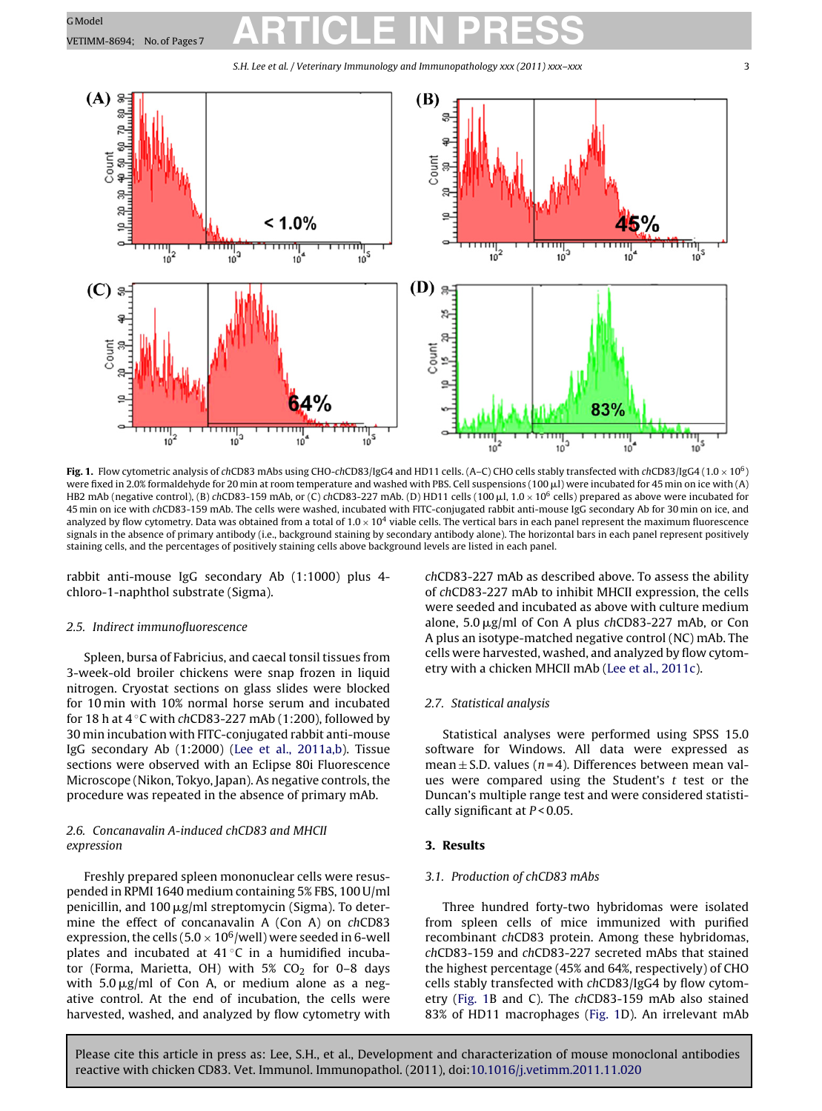### <span id="page-2-0"></span>G Model<br>VETIMM-8694; No.of Pages 7 **ARTICLE IN PRESS**

S.H. Lee et al. / Veterinary Immunology and Immunopathology *xxx (2011) xxx–xxx* 3



**Fig. 1.** Flow cytometric analysis of chCD83 mAbs using CHO-chCD83/IgG4 and HD11 cells. (A–C) CHO cells stably transfected with chCD83/IgG4 (1.0  $\times$  10<sup>6</sup>) were fixed in 2.0% formaldehyde for 20 min at room temperature and washed with PBS. Cell suspensions (100  $\mu$ l) were incubated for 45 min on ice with (A) HB2 mAb (negative control), (B) chCD83-159 mAb, or (C) chCD83-227 mAb. (D) HD11 cells (100  $\mu$ l, 1.0  $\times$  10<sup>6</sup> cells) prepared as above were incubated for 45 min on ice with chCD83-159 mAb. The cells were washed, incubated with FITC-conjugated rabbit anti-mouse IgG secondary Ab for 30 min on ice, and analyzed by flow cytometry. Data was obtained from a total of  $1.0 \times 10^4$  viable cells. The vertical bars in each panel represent the maximum fluorescence signals in the absence of primary antibody (i.e., background staining by secondary antibody alone). The horizontal bars in each panel represent positively staining cells, and the percentages of positively staining cells above background levels are listed in each panel.

rabbit anti-mouse IgG secondary Ab (1:1000) plus 4 chloro-1-naphthol substrate (Sigma).

#### 2.5. Indirect immunofluorescence

Spleen, bursa of Fabricius, and caecal tonsil tissues from 3-week-old broiler chickens were snap frozen in liquid nitrogen. Cryostat sections on glass slides were blocked for 10 min with 10% normal horse serum and incubated for 18 h at  $4^\circ$ C with chCD83-227 mAb (1:200), followed by 30 min incubation with FITC-conjugated rabbit anti-mouse IgG secondary Ab (1:2000) ([Lee](#page-6-0) et [al.,](#page-6-0) [2011a,b\).](#page-6-0) Tissue sections were observed with an Eclipse 80i Fluorescence Microscope (Nikon, Tokyo, Japan). As negative controls,the procedure was repeated in the absence of primary mAb.

#### 2.6. Concanavalin A-induced chCD83 and MHCII expression

Freshly prepared spleen mononuclear cells were resuspended in RPMI 1640 medium containing 5% FBS, 100 U/ml penicillin, and 100 µg/ml streptomycin (Sigma). To determine the effect of concanavalin A (Con A) on chCD83 expression, the cells (5.0  $\times$  10<sup>6</sup>/well) were seeded in 6-well plates and incubated at  $41^{\circ}$ C in a humidified incubator (Forma, Marietta, OH) with  $5\%$  CO<sub>2</sub> for 0-8 days with 5.0  $\mu$ g/ml of Con A, or medium alone as a negative control. At the end of incubation, the cells were harvested, washed, and analyzed by flow cytometry with chCD83-227 mAb as described above. To assess the ability of chCD83-227 mAb to inhibit MHCII expression, the cells were seeded and incubated as above with culture medium alone,  $5.0 \mu$ g/ml of Con A plus chCD83-227 mAb, or Con A plus an isotype-matched negative control (NC) mAb. The cells were harvested, washed, and analyzed by flow cytometry with a chicken MHCII mAb [\(Lee](#page-6-0) et [al.,](#page-6-0) [2011c\).](#page-6-0)

#### 2.7. Statistical analysis

Statistical analyses were performed using SPSS 15.0 software for Windows. All data were expressed as mean  $\pm$  S.D. values (n=4). Differences between mean values were compared using the Student's  $t$  test or the Duncan's multiple range test and were considered statistically significant at  $P < 0.05$ .

#### **3. Results**

#### 3.1. Production of chCD83 mAbs

Three hundred forty-two hybridomas were isolated from spleen cells of mice immunized with purified recombinant chCD83 protein. Among these hybridomas, chCD83-159 and chCD83-227 secreted mAbs that stained the highest percentage (45% and 64%, respectively) of CHO cells stably transfected with chCD83/IgG4 by flow cytometry (Fig. 1B and C). The chCD83-159 mAb also stained 83% of HD11 macrophages (Fig. 1D). An irrelevant mAb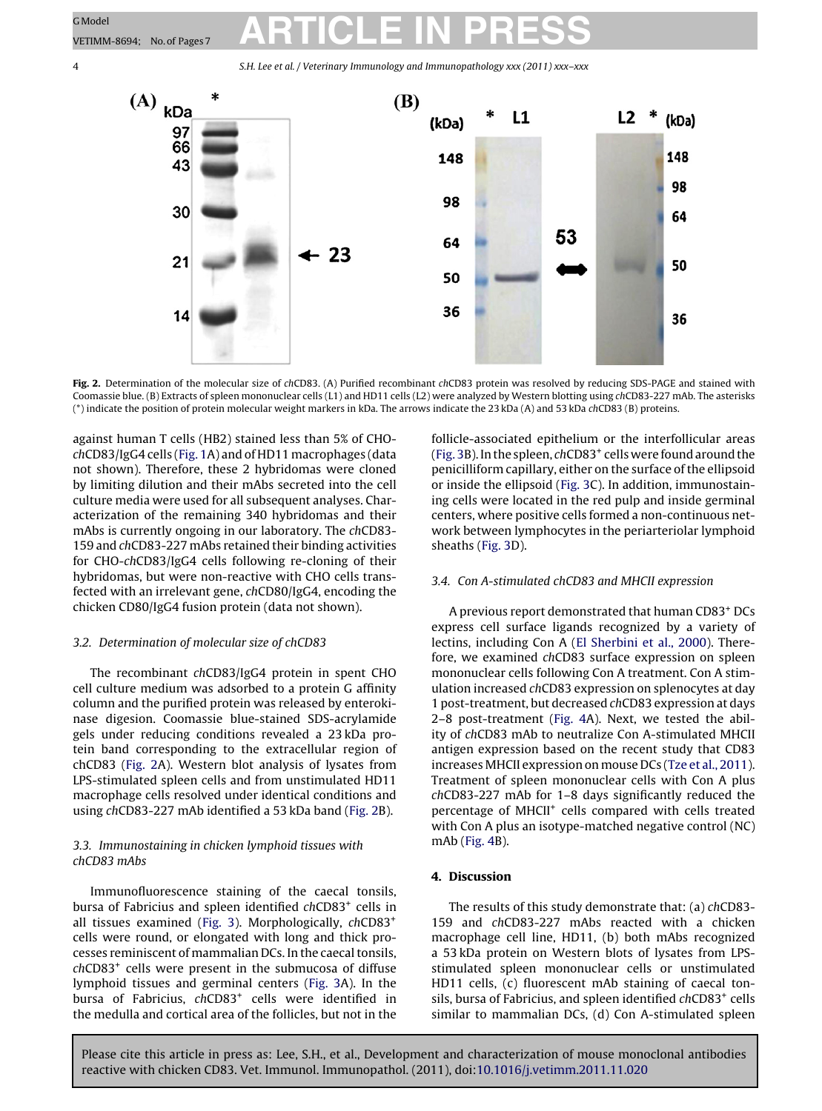### G Model<br>VETIMM-8694; No.of Pages7 **ARTICLE IN PRESS**

4 S.H. Lee et al. / Veterinary Immunology and Immunopathology *xxx (2011) xxx–xxx*



Fig. 2. Determination of the molecular size of chCD83. (A) Purified recombinant chCD83 protein was resolved by reducing SDS-PAGE and stained with Coomassie blue. (B) Extracts of spleen mononuclear cells (L1) and HD11 cells (L2) were analyzed by Western blotting using chCD83-227 mAb. The asterisks (\*) indicate the position of protein molecular weight markers in kDa. The arrows indicate the 23 kDa (A) and 53 kDa chCD83 (B) proteins.

against human T cells (HB2) stained less than 5% of CHOchCD83/IgG4 cells ([Fig.](#page-2-0) 1A) and of HD11 macrophages (data not shown). Therefore, these 2 hybridomas were cloned by limiting dilution and their mAbs secreted into the cell culture media were used for all subsequent analyses. Characterization of the remaining 340 hybridomas and their mAbs is currently ongoing in our laboratory. The chCD83- 159 and chCD83-227 mAbs retained their binding activities for CHO-chCD83/IgG4 cells following re-cloning of their hybridomas, but were non-reactive with CHO cells transfected with an irrelevant gene, chCD80/IgG4, encoding the chicken CD80/IgG4 fusion protein (data not shown).

#### 3.2. Determination of molecular size of chCD83

The recombinant chCD83/IgG4 protein in spent CHO cell culture medium was adsorbed to a protein G affinity column and the purified protein was released by enterokinase digesion. Coomassie blue-stained SDS-acrylamide gels under reducing conditions revealed a 23 kDa protein band corresponding to the extracellular region of chCD83 (Fig. 2A). Western blot analysis of lysates from LPS-stimulated spleen cells and from unstimulated HD11 macrophage cells resolved under identical conditions and using chCD83-227 mAb identified a 53 kDa band (Fig. 2B).

#### 3.3. Immunostaining in chicken lymphoid tissues with chCD83 mAbs

Immunofluorescence staining of the caecal tonsils, bursa of Fabricius and spleen identified chCD83<sup>+</sup> cells in all tissues examined ([Fig.](#page-4-0) 3). Morphologically, chCD83<sup>+</sup> cells were round, or elongated with long and thick processes reminiscent of mammalian DCs. In the caecal tonsils, chCD83+ cells were present in the submucosa of diffuse lymphoid tissues and germinal centers ([Fig.](#page-4-0) 3A). In the bursa of Fabricius, chCD83<sup>+</sup> cells were identified in the medulla and cortical area of the follicles, but not in the

follicle-associated epithelium or the interfollicular areas [\(Fig.](#page-4-0) 3B). In the spleen,  $chCD83<sup>+</sup>$  cells were found around the penicilliform capillary, either on the surface of the ellipsoid or inside the ellipsoid ([Fig.](#page-4-0) 3C). In addition, immunostaining cells were located in the red pulp and inside germinal centers, where positive cells formed a non-continuous network between lymphocytes in the periarteriolar lymphoid sheaths ([Fig.](#page-4-0) 3D).

#### 3.4. Con A-stimulated chCD83 and MHCII expression

A previous report demonstrated that human CD83+ DCs express cell surface ligands recognized by a variety of lectins, including Con A [\(El](#page-5-0) [Sherbini](#page-5-0) et [al.,](#page-5-0) [2000\).](#page-5-0) Therefore, we examined chCD83 surface expression on spleen mononuclear cells following Con A treatment. Con A stimulation increased chCD83 expression on splenocytes at day 1 post-treatment, but decreased chCD83 expression at days 2–8 post-treatment [\(Fig.](#page-5-0) 4A). Next, we tested the ability of chCD83 mAb to neutralize Con A-stimulated MHCII antigen expression based on the recent study that CD83 increases MHCII expression on mouse DCs ([Tze](#page-6-0) et [al.,](#page-6-0) [2011\).](#page-6-0) Treatment of spleen mononuclear cells with Con A plus chCD83-227 mAb for 1–8 days significantly reduced the percentage of MHCII<sup>+</sup> cells compared with cells treated with Con A plus an isotype-matched negative control (NC) mAb [\(Fig.](#page-5-0) 4B).

#### **4. Discussion**

The results of this study demonstrate that: (a) chCD83- 159 and chCD83-227 mAbs reacted with a chicken macrophage cell line, HD11, (b) both mAbs recognized a 53 kDa protein on Western blots of lysates from LPSstimulated spleen mononuclear cells or unstimulated HD11 cells, (c) fluorescent mAb staining of caecal tonsils, bursa of Fabricius, and spleen identified chCD83<sup>+</sup> cells similar to mammalian DCs, (d) Con A-stimulated spleen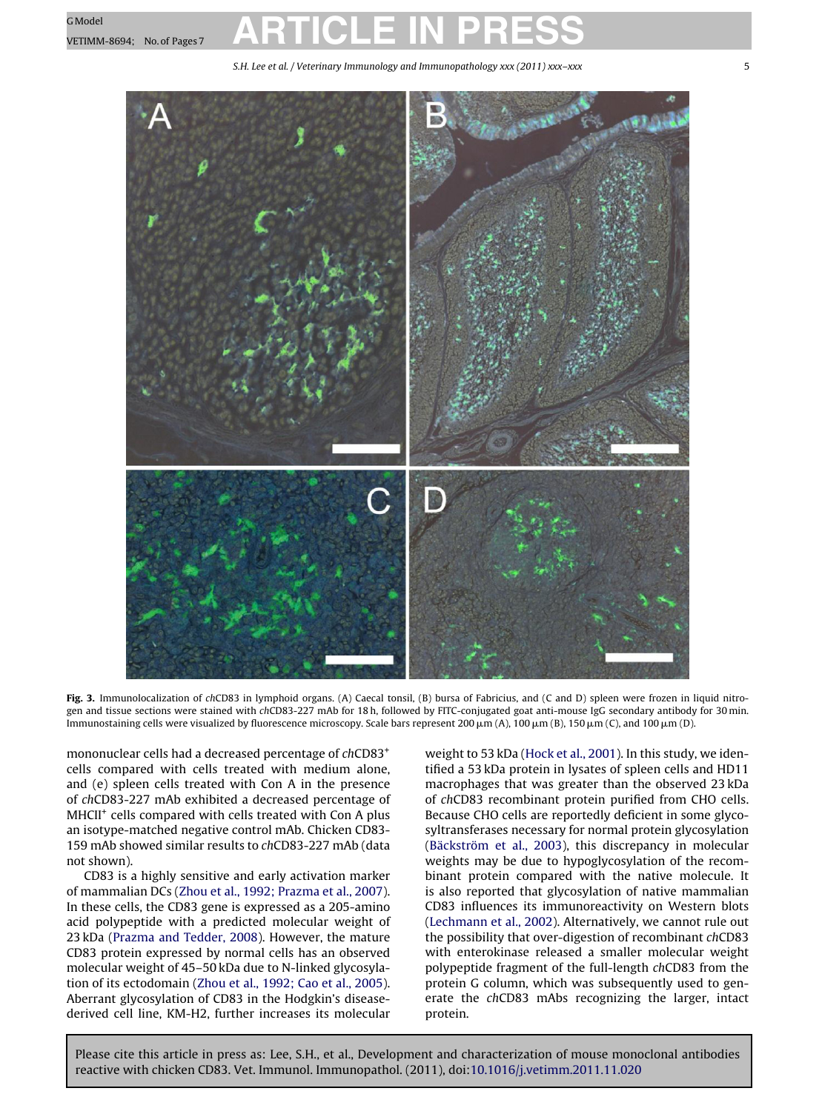# <span id="page-4-0"></span>G Model<br>VETIMM-8694; No.of Pages 7 **ARTICLE IN PRESS**

S.H. Lee et al. / Veterinary Immunology and Immunopathology *xxx (2011) xxx–xxx* 5



**Fig. 3.** Immunolocalization of chCD83 in lymphoid organs. (A) Caecal tonsil, (B) bursa of Fabricius, and (C and D) spleen were frozen in liquid nitrogen and tissue sections were stained with chCD83-227 mAb for 18 h, followed by FITC-conjugated goat anti-mouse IgG secondary antibody for 30 min. lmmunostaining cells were visualized by fluorescence microscopy. Scale bars represent 200 µm (A), 100 µm (B), 150 µm (C), and 100 µm (D).

mononuclear cells had a decreased percentage of chCD83<sup>+</sup> cells compared with cells treated with medium alone, and (e) spleen cells treated with Con A in the presence of chCD83-227 mAb exhibited a decreased percentage of MHCII<sup>+</sup> cells compared with cells treated with Con A plus an isotype-matched negative control mAb. Chicken CD83- 159 mAb showed similar results to chCD83-227 mAb (data not shown).

CD83 is a highly sensitive and early activation marker of mammalian DCs ([Zhou](#page-6-0) et [al.,](#page-6-0) [1992;](#page-6-0) [Prazma](#page-6-0) et [al.,](#page-6-0) [2007\).](#page-6-0) In these cells, the CD83 gene is expressed as a 205-amino acid polypeptide with a predicted molecular weight of 23 kDa ([Prazma](#page-6-0) [and](#page-6-0) [Tedder,](#page-6-0) [2008\).](#page-6-0) However, the mature CD83 protein expressed by normal cells has an observed molecular weight of 45–50 kDa due to N-linked glycosylation of its ectodomain [\(Zhou](#page-6-0) et [al.,](#page-6-0) [1992;](#page-6-0) [Cao](#page-6-0) et [al.,](#page-6-0) [2005\).](#page-6-0) Aberrant glycosylation of CD83 in the Hodgkin's diseasederived cell line, KM-H2, further increases its molecular

weight to 53 kDa ([Hock](#page-5-0) et [al.,](#page-5-0) [2001\).](#page-5-0) In this study, we identified a 53 kDa protein in lysates of spleen cells and HD11 macrophages that was greater than the observed 23 kDa of chCD83 recombinant protein purified from CHO cells. Because CHO cells are reportedly deficient in some glycosyltransferases necessary for normal protein glycosylation [\(Bäckström](#page-5-0) et [al.,](#page-5-0) [2003\),](#page-5-0) this discrepancy in molecular weights may be due to hypoglycosylation of the recombinant protein compared with the native molecule. It is also reported that glycosylation of native mammalian CD83 influences its immunoreactivity on Western blots [\(Lechmann](#page-6-0) et [al.,](#page-6-0) [2002\).](#page-6-0) Alternatively, we cannot rule out the possibility that over-digestion of recombinant chCD83 with enterokinase released a smaller molecular weight polypeptide fragment of the full-length chCD83 from the protein G column, which was subsequently used to generate the chCD83 mAbs recognizing the larger, intact protein.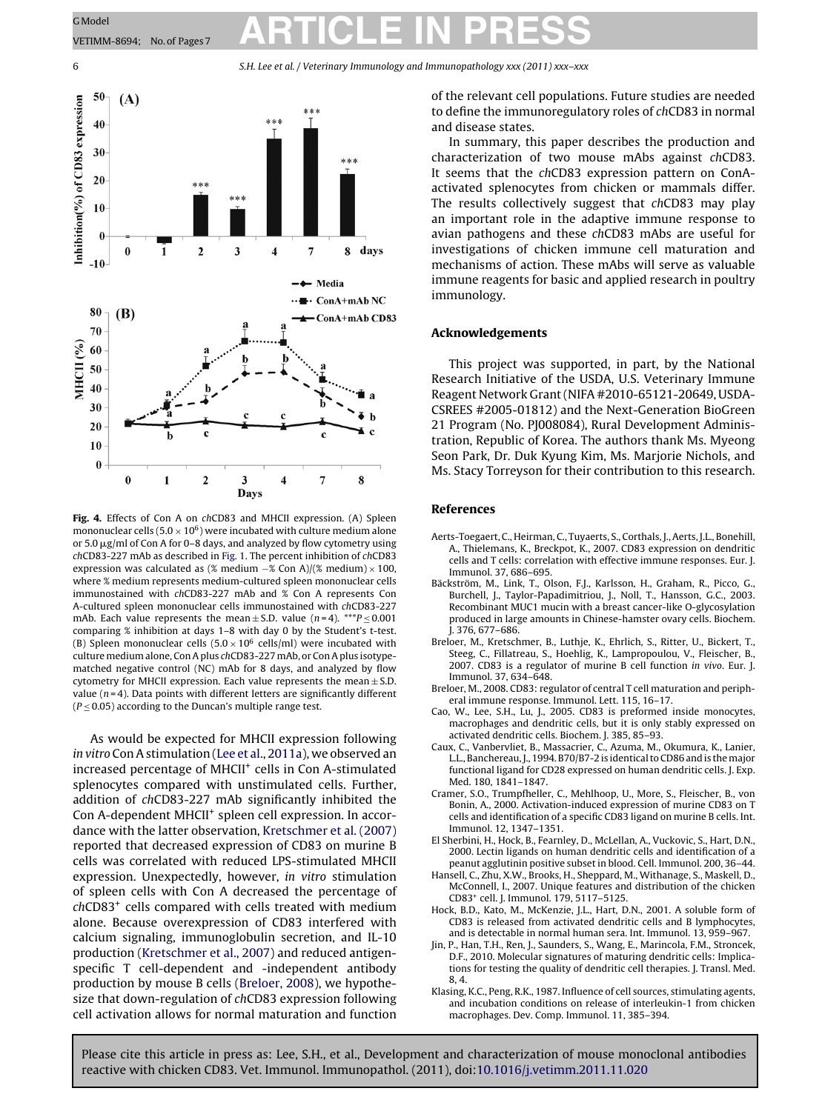### <span id="page-5-0"></span>G Model<br>VETIMM-8694; No.of Pages7 **ARTICLE IN PRESS**

6 S.H. Lee et al. / Veterinary Immunology and Immunopathology *xxx (2011) xxx–xxx*



**Fig. 4.** Effects of Con A on chCD83 and MHCII expression. (A) Spleen mononuclear cells ( $5.0 \times 10^6$ ) were incubated with culture medium alone or 5.0  $\mu$ g/ml of Con A for 0–8 days, and analyzed by flow cytometry using chCD83-227 mAb as described in [Fig.](#page-2-0) 1. The percent inhibition of chCD83 expression was calculated as (% medium  $-\%$  Con A)/(% medium) × 100, where % medium represents medium-cultured spleen mononuclear cells immunostained with chCD83-227 mAb and % Con A represents Con A-cultured spleen mononuclear cells immunostained with chCD83-227 mAb. Each value represents the mean  $\pm$  S.D. value (n=4). \*\*\* $P \le 0.001$ comparing % inhibition at days 1–8 with day 0 by the Student's t-test. (B) Spleen mononuclear cells  $(5.0 \times 10^6 \text{ cells/ml})$  were incubated with culture medium alone, Con A plus chCD83-227 mAb, or Con A plus isotypematched negative control (NC) mAb for 8 days, and analyzed by flow cytometry for MHCII expression. Each value represents the mean  $\pm$  S.D. value ( $n = 4$ ). Data points with different letters are significantly different  $(P \le 0.05)$  according to the Duncan's multiple range test.

As would be expected for MHCII expression following in vitro ConAstimulation ([Lee](#page-6-0) et [al.,](#page-6-0) [2011a\),](#page-6-0) we observed an increased percentage of MHCII<sup>+</sup> cells in Con A-stimulated splenocytes compared with unstimulated cells. Further, addition of chCD83-227 mAb significantly inhibited the Con A-dependent MHCII+ spleen cell expression. In accordance with the latter observation, [Kretschmer](#page-6-0) et [al.](#page-6-0) [\(2007\)](#page-6-0) reported that decreased expression of CD83 on murine B cells was correlated with reduced LPS-stimulated MHCII expression. Unexpectedly, however, in vitro stimulation of spleen cells with Con A decreased the percentage of chCD83+ cells compared with cells treated with medium alone. Because overexpression of CD83 interfered with calcium signaling, immunoglobulin secretion, and IL-10 production ([Kretschmer](#page-6-0) et [al.,](#page-6-0) [2007\)](#page-6-0) and reduced antigenspecific T cell-dependent and -independent antibody production by mouse B cells (Breloer, 2008), we hypothesize that down-regulation of chCD83 expression following cell activation allows for normal maturation and function

of the relevant cell populations. Future studies are needed to define the immunoregulatory roles of chCD83 in normal and disease states.

In summary, this paper describes the production and characterization of two mouse mAbs against chCD83. It seems that the chCD83 expression pattern on ConAactivated splenocytes from chicken or mammals differ. The results collectively suggest that chCD83 may play an important role in the adaptive immune response to avian pathogens and these chCD83 mAbs are useful for investigations of chicken immune cell maturation and mechanisms of action. These mAbs will serve as valuable immune reagents for basic and applied research in poultry immunology.

#### **Acknowledgements**

This project was supported, in part, by the National Research Initiative of the USDA, U.S. Veterinary Immune Reagent Network Grant(NIFA #2010-65121-20649, USDA-CSREES #2005-01812) and the Next-Generation BioGreen 21 Program (No. PJ008084), Rural Development Administration, Republic of Korea. The authors thank Ms. Myeong Seon Park, Dr. Duk Kyung Kim, Ms. Marjorie Nichols, and Ms. Stacy Torreyson for their contribution to this research.

#### **References**

- Aerts-Toegaert, C., Heirman, C., Tuyaerts, S., Corthals, J., Aerts, J.L., Bonehill, A., Thielemans, K., Breckpot, K., 2007. CD83 expression on dendritic cells and T cells: correlation with effective immune responses. Eur. J. Immunol. 37, 686–695.
- Bäckström, M., Link, T., Olson, F.J., Karlsson, H., Graham, R., Picco, G., Burchell, J., Taylor-Papadimitriou, J., Noll, T., Hansson, G.C., 2003. Recombinant MUC1 mucin with a breast cancer-like O-glycosylation produced in large amounts in Chinese-hamster ovary cells. Biochem. J. 376, 677–686.
- Breloer, M., Kretschmer, B., Luthje, K., Ehrlich, S., Ritter, U., Bickert, T., Steeg, C., Fillatreau, S., Hoehlig, K., Lampropoulou, V., Fleischer, B., 2007. CD83 is a regulator of murine B cell function in vivo. Eur. J. Immunol. 37, 634–648.
- Breloer, M., 2008. CD83: regulator of central T cell maturation and peripheral immune response. Immunol. Lett. 115, 16–17.
- Cao, W., Lee, S.H., Lu, J., 2005. CD83 is preformed inside monocytes, macrophages and dendritic cells, but it is only stably expressed on activated dendritic cells. Biochem. J. 385, 85–93.
- Caux, C., Vanbervliet, B., Massacrier, C., Azuma, M., Okumura, K., Lanier, L.L., Banchereau, J., 1994. B70/B7-2 is identical to CD86 and is the major functional ligand for CD28 expressed on human dendritic cells. J. Exp. Med. 180, 1841–1847.
- Cramer, S.O., Trumpfheller, C., Mehlhoop, U., More, S., Fleischer, B., von Bonin, A., 2000. Activation-induced expression of murine CD83 on T cells and identification of a specific CD83 ligand on murine B cells. Int. Immunol. 12, 1347–1351.
- El Sherbini, H., Hock, B., Fearnley, D., McLellan, A., Vuckovic, S., Hart, D.N., 2000. Lectin ligands on human dendritic cells and identification of a peanut agglutinin positive subset in blood. Cell. Immunol. 200, 36–44.
- Hansell, C., Zhu, X.W., Brooks, H., Sheppard, M., Withanage, S., Maskell, D., McConnell, I., 2007. Unique features and distribution of the chicken CD83+ cell. J. Immunol. 179, 5117–5125.
- Hock, B.D., Kato, M., McKenzie, J.L., Hart, D.N., 2001. A soluble form of CD83 is released from activated dendritic cells and B lymphocytes, and is detectable in normal human sera. Int. Immunol. 13, 959–967.
- Jin, P., Han, T.H., Ren, J., Saunders, S., Wang, E., Marincola, F.M., Stroncek, D.F., 2010. Molecular signatures of maturing dendritic cells: Implications for testing the quality of dendritic cell therapies. J. Transl. Med. 8, 4.
- Klasing, K.C., Peng, R.K., 1987. Influence of cell sources, stimulating agents, and incubation conditions on release of interleukin-1 from chicken macrophages. Dev. Comp. Immunol. 11, 385–394.